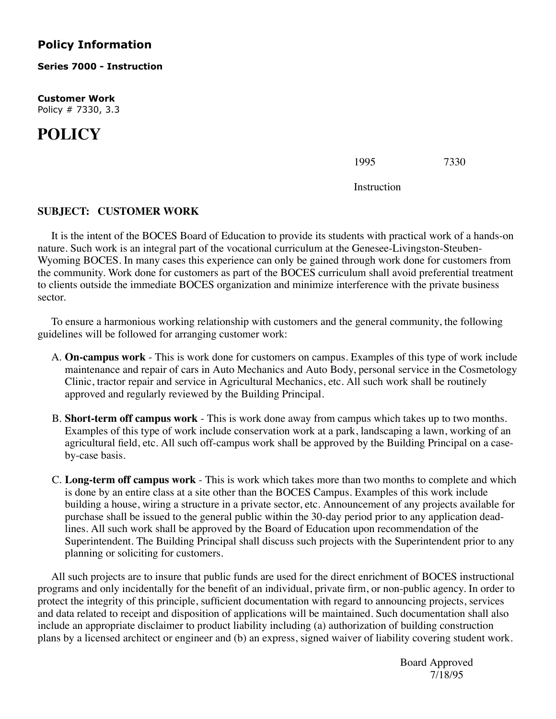## **Policy Information**

**Series 7000 - Instruction**

**Customer Work** Policy # 7330, 3.3

## **POLICY**

| 1995 | 7330 |
|------|------|
|      |      |

Instruction

## **SUBJECT: CUSTOMER WORK**

 It is the intent of the BOCES Board of Education to provide its students with practical work of a hands-on nature. Such work is an integral part of the vocational curriculum at the Genesee-Livingston-Steuben-Wyoming BOCES. In many cases this experience can only be gained through work done for customers from the community. Work done for customers as part of the BOCES curriculum shall avoid preferential treatment to clients outside the immediate BOCES organization and minimize interference with the private business sector.

 To ensure a harmonious working relationship with customers and the general community, the following guidelines will be followed for arranging customer work:

- A. **On-campus work** This is work done for customers on campus. Examples of this type of work include maintenance and repair of cars in Auto Mechanics and Auto Body, personal service in the Cosmetology Clinic, tractor repair and service in Agricultural Mechanics, etc. All such work shall be routinely approved and regularly reviewed by the Building Principal.
- B. **Short-term off campus work** This is work done away from campus which takes up to two months. Examples of this type of work include conservation work at a park, landscaping a lawn, working of an agricultural field, etc. All such off-campus work shall be approved by the Building Principal on a caseby-case basis.
- C. **Long-term off campus work** This is work which takes more than two months to complete and which is done by an entire class at a site other than the BOCES Campus. Examples of this work include building a house, wiring a structure in a private sector, etc. Announcement of any projects available for purchase shall be issued to the general public within the 30-day period prior to any application deadlines. All such work shall be approved by the Board of Education upon recommendation of the Superintendent. The Building Principal shall discuss such projects with the Superintendent prior to any planning or soliciting for customers.

 All such projects are to insure that public funds are used for the direct enrichment of BOCES instructional programs and only incidentally for the benefit of an individual, private firm, or non-public agency. In order to protect the integrity of this principle, sufficient documentation with regard to announcing projects, services and data related to receipt and disposition of applications will be maintained. Such documentation shall also include an appropriate disclaimer to product liability including (a) authorization of building construction plans by a licensed architect or engineer and (b) an express, signed waiver of liability covering student work.

Board Approved<br>7/18/95 7/18/95